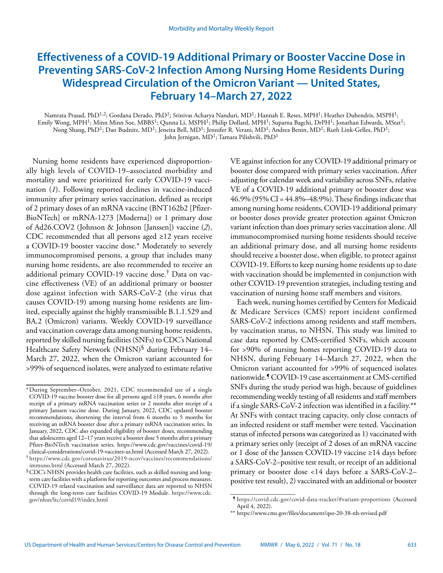# **Effectiveness of a COVID-19 Additional Primary or Booster Vaccine Dose in Preventing SARS-CoV-2 Infection Among Nursing Home Residents During Widespread Circulation of the Omicron Variant — United States, February 14–March 27, 2022**

Namrata Prasad, PhD<sup>1,2</sup>; Gordana Derado, PhD<sup>1</sup>; Srinivas Acharya Nanduri, MD<sup>1</sup>; Hannah E. Reses, MPH<sup>1</sup>; Heather Dubendris, MSPH<sup>1</sup>; Emily Wong, MPH<sup>1</sup>; Minn Minn Soe, MBBS<sup>1</sup>; Qunna Li, MSPH<sup>1</sup>; Philip Dollard, MPH<sup>1</sup>; Suparna Bagchi, DrPH<sup>1</sup>; Jonathan Edwards, MStat<sup>1</sup>; Nong Shang, PhD<sup>1</sup>; Dan Budnitz, MD<sup>1</sup>; Jeneita Bell, MD<sup>1</sup>; Jennifer R. Verani, MD<sup>1</sup>; Andrea Benin, MD<sup>1</sup>; Ruth Link-Gelles, PhD<sup>1</sup>; John Jernigan, MD<sup>1</sup>; Tamara Pilishvili, PhD<sup>1</sup>

Nursing home residents have experienced disproportionally high levels of COVID-19–associated morbidity and mortality and were prioritized for early COVID-19 vaccination (*1*). Following reported declines in vaccine-induced immunity after primary series vaccination, defined as receipt of 2 primary doses of an mRNA vaccine (BNT162b2 [Pfizer-BioNTech] or mRNA-1273 [Moderna]) or 1 primary dose of Ad26.COV2 (Johnson & Johnson [Janssen]) vaccine (*2*), CDC recommended that all persons aged ≥12 years receive a COVID-19 booster vaccine dose.\* Moderately to severely immunocompromised persons, a group that includes many nursing home residents, are also recommended to receive an additional primary COVID-19 vaccine dose.† Data on vaccine effectiveness (VE) of an additional primary or booster dose against infection with SARS-CoV-2 (the virus that causes COVID-19) among nursing home residents are limited, especially against the highly transmissible B.1.1.529 and BA.2 (Omicron) variants. Weekly COVID-19 surveillance and vaccination coverage data among nursing home residents, reported by skilled nursing facilities (SNFs) to CDC's National Healthcare Safety Network (NHSN)<sup>§</sup> during February 14– March 27, 2022, when the Omicron variant accounted for >99% of sequenced isolates, were analyzed to estimate relative

VE against infection for any COVID-19 additional primary or booster dose compared with primary series vaccination. After adjusting for calendar week and variability across SNFs, relative VE of a COVID-19 additional primary or booster dose was 46.9% (95% CI = 44.8%–48.9%). These findings indicate that among nursing home residents, COVID-19 additional primary or booster doses provide greater protection against Omicron variant infection than does primary series vaccination alone. All immunocompromised nursing home residents should receive an additional primary dose, and all nursing home residents should receive a booster dose, when eligible, to protect against COVID-19. Efforts to keep nursing home residents up to date with vaccination should be implemented in conjunction with other COVID-19 prevention strategies, including testing and vaccination of nursing home staff members and visitors.

Each week, nursing homes certified by Centers for Medicaid & Medicare Services (CMS) report incident confirmed SARS-CoV-2 infections among residents and staff members, by vaccination status, to NHSN. This study was limited to case data reported by CMS-certified SNFs, which account for >90% of nursing homes reporting COVID-19 data to NHSN, during February 14–March 27, 2022, when the Omicron variant accounted for >99% of sequenced isolates nationwide.¶ COVID-19 case ascertainment at CMS-certified SNFs during the study period was high, because of guidelines recommending weekly testing of all residents and staff members if a single SARS-CoV-2 infection was identified in a facility.\*\* At SNFs with contact tracing capacity, only close contacts of an infected resident or staff member were tested. Vaccination status of infected persons was categorized as 1) vaccinated with a primary series only (receipt of 2 doses of an mRNA vaccine or 1 dose of the Janssen COVID-19 vaccine ≥14 days before a SARS-CoV-2–positive test result, or receipt of an additional primary or booster dose <14 days before a SARS-CoV-2– positive test result), 2) vaccinated with an additional or booster

<sup>\*</sup>During September–October, 2021, CDC recommended use of a single COVID-19 vaccine booster dose for all persons aged ≥18 years, 6 months after receipt of a primary mRNA vaccination series or 2 months after receipt of a primary Janssen vaccine dose. During January, 2022, CDC updated booster recommendations, shortening the interval from 6 months to 5 months for receiving an mRNA booster dose after a primary mRNA vaccination series. In January, 2022, CDC also expanded eligibility of booster doses, recommending that adolescents aged 12–17 years receive a booster dose 5 months after a primary Pfizer-BioNTech vaccination series. [https://www.cdc.gov/vaccines/covid-19/](https://www.cdc.gov/vaccines/covid-19/clinical-considerations/covid-19-vaccines-us.html) [clinical-considerations/covid-19-vaccines-us.html](https://www.cdc.gov/vaccines/covid-19/clinical-considerations/covid-19-vaccines-us.html) (Accessed March 27, 2022). † [https://www.cdc.gov/coronavirus/2019-ncov/vaccines/recommendations/](https://www.cdc.gov/coronavirus/2019-ncov/vaccines/recommendations/immuno.html)

[immuno.html](https://www.cdc.gov/coronavirus/2019-ncov/vaccines/recommendations/immuno.html) (Accessed March 27, 2022). §CDC's NHSN provides health care facilities, such as skilled nursing and long-

term care facilities with a platform for reporting outcomes and process measures. COVID-19 related vaccination and surveillance data are reported to NHSN through the long-term care facilities COVID-19 Module. [https://www.cdc.](https://www.cdc.gov/nhsn/ltc/covid19/index.html) [gov/nhsn/ltc/covid19/index.html](https://www.cdc.gov/nhsn/ltc/covid19/index.html)

<sup>¶</sup> https://covid.cdc.gov/covid-data-tracker/#variant-proportions (Accessed April 4, 2022).

<sup>\*\*</sup> <https://www.cms.gov/files/document/qso-20-38-nh-revised.pdf>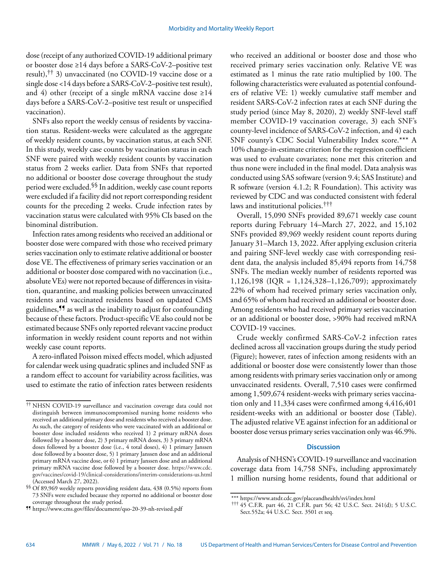dose (receipt of any authorized COVID-19 additional primary or booster dose ≥14 days before a SARS-CoV-2–positive test result),†† 3) unvaccinated (no COVID-19 vaccine dose or a single dose <14 days before a SARS-CoV-2–positive test result), and 4) other (receipt of a single mRNA vaccine dose  $\geq 14$ days before a SARS-CoV-2–positive test result or unspecified vaccination).

SNFs also report the weekly census of residents by vaccination status. Resident-weeks were calculated as the aggregate of weekly resident counts, by vaccination status, at each SNF. In this study, weekly case counts by vaccination status in each SNF were paired with weekly resident counts by vaccination status from 2 weeks earlier. Data from SNFs that reported no additional or booster dose coverage throughout the study period were excluded.§§ In addition, weekly case count reports were excluded if a facility did not report corresponding resident counts for the preceding 2 weeks. Crude infection rates by vaccination status were calculated with 95% CIs based on the binominal distribution.

Infection rates among residents who received an additional or booster dose were compared with those who received primary series vaccination only to estimate relative additional or booster dose VE. The effectiveness of primary series vaccination or an additional or booster dose compared with no vaccination (i.e., absolute VEs) were not reported because of differences in visitation, quarantine, and masking policies between unvaccinated residents and vaccinated residents based on updated CMS guidelines,¶¶ as well as the inability to adjust for confounding because of these factors. Product-specific VE also could not be estimated because SNFs only reported relevant vaccine product information in weekly resident count reports and not within weekly case count reports.

A zero-inflated Poisson mixed effects model, which adjusted for calendar week using quadratic splines and included SNF as a random effect to account for variability across facilities, was used to estimate the ratio of infection rates between residents who received an additional or booster dose and those who received primary series vaccination only. Relative VE was estimated as 1 minus the rate ratio multiplied by 100. The following characteristics were evaluated as potential confounders of relative VE: 1) weekly cumulative staff member and resident SARS-CoV-2 infection rates at each SNF during the study period (since May 8, 2020), 2) weekly SNF-level staff member COVID-19 vaccination coverage, 3) each SNF's county-level incidence of SARS-CoV-2 infection, and 4) each SNF county's CDC Social Vulnerability Index score.\*\*\* A 10% change-in-estimate criterion for the regression coefficient was used to evaluate covariates; none met this criterion and thus none were included in the final model. Data analysis was conducted using SAS software (version 9.4; SAS Institute) and R software (version 4.1.2; R Foundation). This activity was reviewed by CDC and was conducted consistent with federal laws and institutional policies.<sup>†††</sup>

Overall, 15,090 SNFs provided 89,671 weekly case count reports during February 14–March 27, 2022, and 15,102 SNFs provided 89,969 weekly resident count reports during January 31–March 13, 2022. After applying exclusion criteria and pairing SNF-level weekly case with corresponding resident data, the analysis included 85,494 reports from 14,758 SNFs. The median weekly number of residents reported was 1,126,198 (IQR = 1,124,328–1,126,709); approximately 22% of whom had received primary series vaccination only, and 65% of whom had received an additional or booster dose. Among residents who had received primary series vaccination or an additional or booster dose, >90% had received mRNA COVID-19 vaccines.

Crude weekly confirmed SARS-CoV-2 infection rates declined across all vaccination groups during the study period (Figure); however, rates of infection among residents with an additional or booster dose were consistently lower than those among residents with primary series vaccination only or among unvaccinated residents. Overall, 7,510 cases were confirmed among 1,509,674 resident-weeks with primary series vaccination only and 11,334 cases were confirmed among 4,416,401 resident-weeks with an additional or booster dose (Table). The adjusted relative VE against infection for an additional or booster dose versus primary series vaccination only was 46.9%.

## **Discussion**

Analysis of NHSN's COVID-19 surveillance and vaccination coverage data from 14,758 SNFs, including approximately 1 million nursing home residents, found that additional or

<sup>††</sup> NHSN COVID-19 surveillance and vaccination coverage data could not distinguish between immunocompromised nursing home residents who received an additional primary dose and residents who received a booster dose. As such, the category of residents who were vaccinated with an additional or booster dose included residents who received 1) 2 primary mRNA doses followed by a booster dose, 2) 3 primary mRNA doses, 3) 3 primary mRNA doses followed by a booster dose (i.e., 4 total doses), 4) 1 primary Janssen dose followed by a booster dose, 5) 1 primary Janssen dose and an additional primary mRNA vaccine dose, or 6) 1 primary Janssen dose and an additional primary mRNA vaccine dose followed by a booster dose. [https://www.cdc.](https://www.cdc.gov/vaccines/covid-19/clinical-considerations/interim-considerations-us.html) [gov/vaccines/covid-19/clinical-considerations/interim-considerations-us.html](https://www.cdc.gov/vaccines/covid-19/clinical-considerations/interim-considerations-us.html) (Accessed March 27, 2022).

<sup>§§</sup> Of 89,969 weekly reports providing resident data, 438 (0.5%) reports from 73 SNFs were excluded because they reported no additional or booster dose coverage throughout the study period.

<sup>¶¶</sup> <https://www.cms.gov/files/document/qso-20-39-nh-revised.pdf>

<sup>\*\*\*</sup> <https://www.atsdr.cdc.gov/placeandhealth/svi/index.html>

<sup>†††</sup> 45 C.F.R. part 46, 21 C.F.R. part 56; 42 U.S.C. Sect. 241(d); 5 U.S.C. Sect.552a; 44 U.S.C. Sect. 3501 et seq.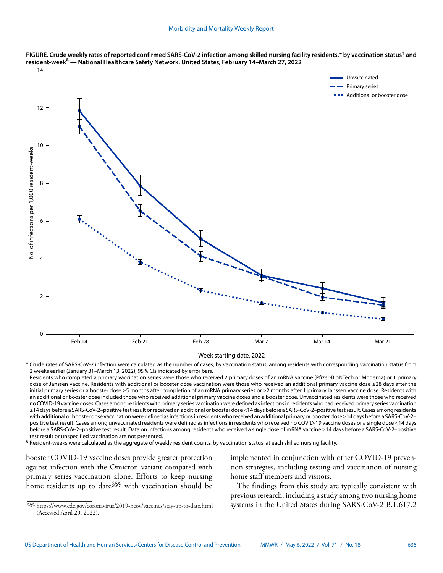



Week starting date, 2022

\* Crude rates of SARS-CoV-2 infection were calculated as the number of cases, by vaccination status, among residents with corresponding vaccination status from 2 weeks earlier (January 31–March 13, 2022); 95% CIs indicated by error bars.

† Residents who completed a primary vaccination series were those who received 2 primary doses of an mRNA vaccine (Pfizer-BioNTech or Moderna) or 1 primary dose of Janssen vaccine. Residents with additional or booster dose vaccination were those who received an additional primary vaccine dose ≥28 days after the initial primary series or a booster dose ≥5 months after completion of an mRNA primary series or ≥2 months after 1 primary Janssen vaccine dose. Residents with an additional or booster dose included those who received additional primary vaccine doses and a booster dose. Unvaccinated residents were those who received no COVID-19 vaccine doses. Cases among residents with primary series vaccination were defined as infections in residents who had received primary series vaccination ≥14 days before a SARS-CoV-2–positive test result or received an additional or booster dose <14 days before a SARS-CoV-2–positive test result. Cases among residents with additional or booster dose vaccination were defined as infections in residents who received an additional primary or booster dose ≥14 days before a SARS-CoV-2– positive test result. Cases among unvaccinated residents were defined as infections in residents who received no COVID-19 vaccine doses or a single dose <14 days before a SARS-CoV-2–positive test result. Data on infections among residents who received a single dose of mRNA vaccine ≥14 days before a SARS-CoV-2–positive test result or unspecified vaccination are not presented.

 $§$  Resident-weeks were calculated as the aggregate of weekly resident counts, by vaccination status, at each skilled nursing facility.

booster COVID-19 vaccine doses provide greater protection against infection with the Omicron variant compared with primary series vaccination alone. Efforts to keep nursing home residents up to date§§§ with vaccination should be implemented in conjunction with other COVID-19 prevention strategies, including testing and vaccination of nursing home staff members and visitors.

The findings from this study are typically consistent with previous research, including a study among two nursing home systems in the United States during SARS-CoV-2 B.1.617.2

<sup>§§§</sup> <https://www.cdc.gov/coronavirus/2019-ncov/vaccines/stay-up-to-date.html> (Accessed April 20, 2022).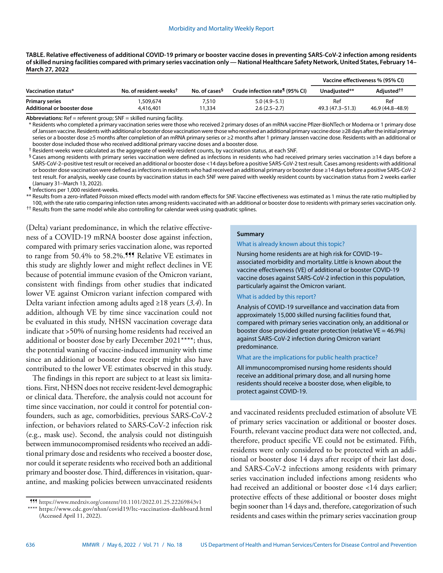| TABLE. Relative effectiveness of additional COVID-19 primary or booster vaccine doses in preventing SARS-CoV-2 infection among residents      |
|-----------------------------------------------------------------------------------------------------------------------------------------------|
| of skilled nursing facilities compared with primary series vaccination only — National Healthcare Safety Network, United States, February 14– |
| March 27, 2022                                                                                                                                |

|                                                     |                                    |                           |                                            | Vaccine effectiveness % (95% CI) |                         |
|-----------------------------------------------------|------------------------------------|---------------------------|--------------------------------------------|----------------------------------|-------------------------|
| Vaccination status*                                 | No. of resident-weeks <sup>t</sup> | No. of cases <sup>§</sup> | Crude infection rate <sup>¶</sup> (95% CI) | Unadiusted**                     | Adiusted <sup>††</sup>  |
| <b>Primary series</b><br>Additional or booster dose | 1,509,674<br>4,416,401             | 7.510<br>1.334            | $5.0(4.9-5.1)$<br>$2.6(2.5-2.7)$           | Ref<br>49.3 (47.3–51.3)          | Ref<br>46.9 (44.8–48.9) |

**Abbreviations:** Ref = referent group; SNF = skilled nursing facility.

\* Residents who completed a primary vaccination series were those who received 2 primary doses of an mRNA vaccine Pfizer-BioNTech or Moderna or 1 primary dose of Janssen vaccine. Residents with additional or booster dose vaccination were those who received an additional primary vaccine dose ≥28 days after the initial primary series or a booster dose ≥5 months after completion of an mRNA primary series or ≥2 months after 1 primary Janssen vaccine dose. Residents with an additional or booster dose included those who received additional primary vaccine doses and a booster dose.

† Resident-weeks were calculated as the aggregate of weekly resident counts, by vaccination status, at each SNF.

§ Cases among residents with primary series vaccination were defined as infections in residents who had received primary series vaccination ≥14 days before a SARS-CoV-2–positive test result or received an additional or booster dose <14 days before a positive SARS-CoV-2 test result. Cases among residents with additional or booster dose vaccination were defined as infections in residents who had received an additional primary or booster dose ≥14 days before a positive SARS-CoV-2 test result. For analysis, weekly case counts by vaccination status in each SNF were paired with weekly resident counts by vaccination status from 2 weeks earlier (January 31–March 13, 2022).

¶ Infections per 1,000 resident-weeks.

\*\* Results from a zero-inflated Poisson mixed effects model with random effects for SNF. Vaccine effectiveness was estimated as 1 minus the rate ratio multiplied by 100, with the rate ratio comparing infection rates among residents vaccinated with an additional or booster dose to residents with primary series vaccination only.

<sup>††</sup> Results from the same model while also controlling for calendar week using quadratic splines.

(Delta) variant predominance, in which the relative effectiveness of a COVID-19 mRNA booster dose against infection, compared with primary series vaccination alone, was reported to range from 50.4% to 58.2%.<sup>111</sup> Relative VE estimates in this study are slightly lower and might reflect declines in VE because of potential immune evasion of the Omicron variant, consistent with findings from other studies that indicated lower VE against Omicron variant infection compared with Delta variant infection among adults aged ≥18 years (*3,4*). In addition, although VE by time since vaccination could not be evaluated in this study, NHSN vaccination coverage data indicate that >50% of nursing home residents had received an additional or booster dose by early December 2021\*\*\*\*; thus, the potential waning of vaccine-induced immunity with time since an additional or booster dose receipt might also have contributed to the lower VE estimates observed in this study.

The findings in this report are subject to at least six limitations. First, NHSN does not receive resident-level demographic or clinical data. Therefore, the analysis could not account for time since vaccination, nor could it control for potential confounders, such as age, comorbidities, previous SARS-CoV-2 infection, or behaviors related to SARS-CoV-2 infection risk (e.g., mask use). Second, the analysis could not distinguish between immunocompromised residents who received an additional primary dose and residents who received a booster dose, nor could it seperate residents who received both an additional primary and booster dose. Third, differences in visitation, quarantine, and masking policies between unvaccinated residents

## **Summary**

#### What is already known about this topic?

Nursing home residents are at high risk for COVID-19– associated morbidity and mortality. Little is known about the vaccine effectiveness (VE) of additional or booster COVID-19 vaccine doses against SARS-CoV-2 infection in this population, particularly against the Omicron variant.

## What is added by this report?

Analysis of COVID-19 surveillance and vaccination data from approximately 15,000 skilled nursing facilities found that, compared with primary series vaccination only, an additional or booster dose provided greater protection (relative  $VE = 46.9\%)$ against SARS-CoV-2 infection during Omicron variant predominance.

What are the implications for public health practice?

All immunocompromised nursing home residents should receive an additional primary dose, and all nursing home residents should receive a booster dose, when eligible, to protect against COVID-19.

and vaccinated residents precluded estimation of absolute VE of primary series vaccination or additional or booster doses. Fourth, relevant vaccine product data were not collected, and, therefore, product specific VE could not be estimated. Fifth, residents were only considered to be protected with an additional or booster dose 14 days after receipt of their last dose, and SARS-CoV-2 infections among residents with primary series vaccination included infections among residents who had received an additional or booster dose <14 days earlier; protective effects of these additional or booster doses might begin sooner than 14 days and, therefore, categorization of such residents and cases within the primary series vaccination group

<sup>¶¶¶</sup> <https://www.medrxiv.org/content/10.1101/2022.01.25.22269843v1> \*\*\*\* <https://www.cdc.gov/nhsn/covid19/ltc-vaccination-dashboard.html> (Accessed April 11, 2022).